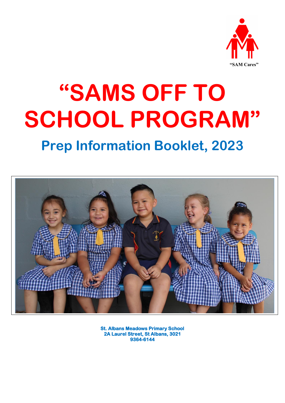

# **"SAMS OFF TO SCHOOL PROGRAM"**

# **Prep Information Booklet, 2023**



**St. Albans Meadows Primary School 2A Laurel Street, St Albans, 3021 9364-6144**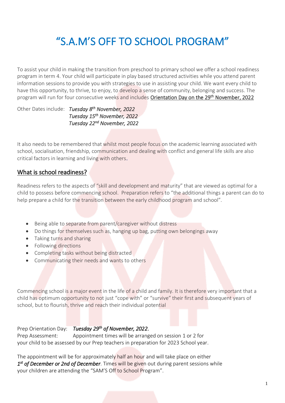## "S.A.M'S OFF TO SCHOOL PROGRAM"

To assist your child in making the transition from preschool to primary school we offer a school readiness program in term 4. Your child will participate in play based structured activities while you attend parent information sessions to provide you with strategies to use in assisting your child. We want every child to have this opportunity, to thrive, to enjoy, to develop a sense of community, belonging and success. The program will run for four consecutive weeks and includes Orientation Day on the 29<sup>th</sup> November, 2022

Other Dates include: *Tuesday 8 th November, 2022 Tuesday 15 th November, 2022 Tuesday 22 nd November, 2022* 

It also needs to be remembered that whilst most people focus on the academic learning associated with school, socialisation, friendship, communication and dealing with conflict and general life skills are also critical factors in learning and living with others.

### What is school readiness?

Readiness refers to the aspects of "skill and development and maturity" that are viewed as optimal for a child to possess before commencing school. Preparation refers to "the additional things a parent can do to help prepare a child for the transition between the early childhood program and school".

- Being able to separate from parent/caregiver without distress
- Do things for themselves such as, hanging up bag, putting own belongings away
- Taking turns and sharing
- Following directions
- Completing tasks without being distracted
- Communicating their needs and wants to others

Commencing school is a major event in the life of a child and family. It is therefore very important that a child has optimum opportunity to not just "cope with" or "survive" their first and subsequent years of school, but to flourish, thrive and reach their individual potential

Prep Orientation Day: *Tuesday 29th of November, 2022*.

Prep Assessment: Appointment times will be arranged on session 1 or 2 for your child to be assessed by our Prep teachers in preparation for 2023 School year.

The appointment will be for approximately half an hour and will take place on either 1<sup>st</sup> of December or 2nd of December. Times will be given out during parent sessions while your children are attending the "SAM'S Off to School Program".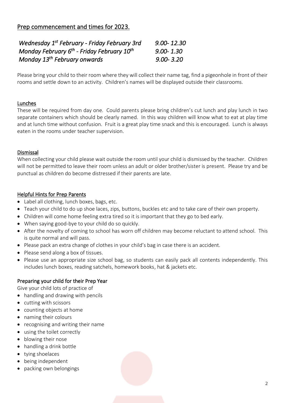## Prep commencement and times for 2023.

| Wednesday 1 <sup>st</sup> February - Friday February 3rd    | $9.00 - 12.30$ |
|-------------------------------------------------------------|----------------|
| Monday February $6^{th}$ - Friday February 10 <sup>th</sup> | $9.00 - 1.30$  |
| Monday 13 <sup>th</sup> February onwards                    | $9.00 - 3.20$  |

Please bring your child to their room where they will collect their name tag, find a pigeonhole in front of their rooms and settle down to an activity. Children's names will be displayed outside their classrooms.

#### Lunches

These will be required from day one. Could parents please bring children's cut lunch and play lunch in two separate containers which should be clearly named. In this way children will know what to eat at play time and at lunch time without confusion. Fruit is a great play time snack and this is encouraged. Lunch is always eaten in the rooms under teacher supervision.

#### Dismissal

When collecting your child please wait outside the room until your child is dismissed by the teacher. Children will not be permitted to leave their room unless an adult or older brother/sister is present. Please try and be punctual as children do become distressed if their parents are late.

#### Helpful Hints for Prep Parents

- Label all clothing, lunch boxes, bags, etc.
- Teach your child to do up shoe laces, zips, buttons, buckles etc and to take care of their own property.
- Children will come home feeling extra tired so it is important that they go to bed early.
- When saying good-bye to your child do so quickly.
- After the novelty of coming to school has worn off children may become reluctant to attend school. This is quite normal and will pass.
- Please pack an extra change of clothes in your child's bag in case there is an accident.
- Please send along a box of tissues.
- Please use an appropriate size school bag, so students can easily pack all contents independently. This includes lunch boxes, reading satchels, homework books, hat & jackets etc.

#### Preparing your child for their Prep Year

Give your child lots of practice of

- handling and drawing with pencils
- cutting with scissors
- counting objects at home
- naming their colours
- recognising and writing their name
- using the toilet correctly
- blowing their nose
- handling a drink bottle
- tying shoelaces
- being independent
- packing own belongings